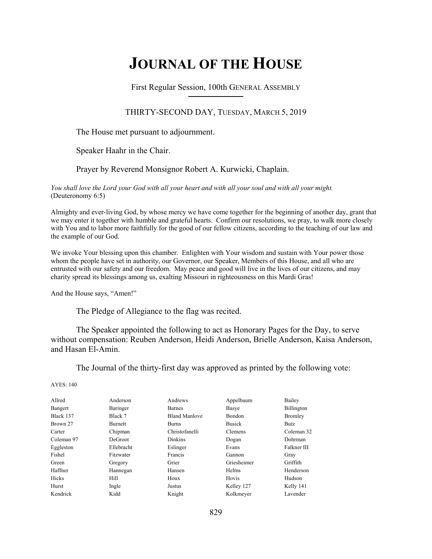# **JOURNAL OF THE HOUSE**

First Regular Session, 100th GENERAL ASSEMBLY **\_\_\_\_\_\_\_\_\_\_\_\_\_\_\_\_\_\_\_\_\_\_\_\_\_\_**

## THIRTY-SECOND DAY, TUESDAY, MARCH 5, 2019

The House met pursuant to adjournment.

Speaker Haahr in the Chair.

## Prayer by Reverend Monsignor Robert A. Kurwicki, Chaplain.

*You shall love the Lord your God with all your heart and with all your soul and with all your might.*  (Deuteronomy 6:5)

Almighty and ever-living God, by whose mercy we have come together for the beginning of another day, grant that we may enter it together with humble and grateful hearts. Confirm our resolutions, we pray, to walk more closely with You and to labor more faithfully for the good of our fellow citizens, according to the teaching of our law and the example of our God.

We invoke Your blessing upon this chamber. Enlighten with Your wisdom and sustain with Your power those whom the people have set in authority, our Governor, our Speaker, Members of this House, and all who are entrusted with our safety and our freedom. May peace and good will live in the lives of our citizens, and may charity spread its blessings among us, exalting Missouri in righteousness on this Mardi Gras!

And the House says, "Amen!"

The Pledge of Allegiance to the flag was recited.

 The Speaker appointed the following to act as Honorary Pages for the Day, to serve without compensation: Reuben Anderson, Heidi Anderson, Brielle Anderson, Kaisa Anderson, and Hasan El-Amin.

The Journal of the thirty-first day was approved as printed by the following vote:

AYES: 140

| Allred     | Anderson       | Andrews              | Appelbaum     | Bailey         |
|------------|----------------|----------------------|---------------|----------------|
| Bangert    | Baringer       | <b>Barnes</b>        | Basye         | Billington     |
| Black 137  | Black 7        | <b>Bland Manlove</b> | <b>Bondon</b> | <b>Bromley</b> |
| Brown 27   | Burnett        | <b>Burns</b>         | <b>Busick</b> | Butz           |
| Carter     | Chipman        | Christofanelli       | Clemens       | Coleman 32     |
| Coleman 97 | <b>DeGroot</b> | <b>Dinkins</b>       | Dogan         | Dohrman        |
| Eggleston  | Ellebracht     | Eslinger             | Evans         | Falkner III    |
| Fishel     | Fitzwater      | Francis              | Gannon        | Gray           |
| Green      | Gregory        | Grier                | Griesheimer   | Griffith       |
| Haffner    | Hannegan       | Hansen               | <b>Helms</b>  | Henderson      |
| Hicks      | Hill           | Houx                 | Hovis         | Hudson         |
| Hurst      | Ingle          | Justus               | Kelley 127    | Kelly 141      |
| Kendrick   | Kidd           | Knight               | Kolkmeyer     | Lavender       |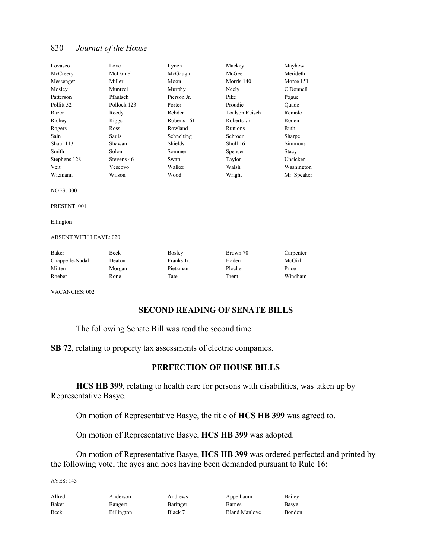| Lovasco                       | Love        | Lynch         | Mackey                | Mayhew      |
|-------------------------------|-------------|---------------|-----------------------|-------------|
| McCreery                      | McDaniel    | McGaugh       | McGee                 | Merideth    |
| Messenger                     | Miller      | Moon          | Morris 140            | Morse 151   |
| Mosley                        | Muntzel     | Murphy        | Neely                 | O'Donnell   |
| Patterson                     | Pfautsch    | Pierson Jr.   | Pike                  | Pogue       |
| Pollitt <sub>52</sub>         | Pollock 123 | Porter        | Proudie               | Ouade       |
| Razer                         | Reedy       | Rehder        | <b>Toalson Reisch</b> | Remole      |
| Richey                        | Riggs       | Roberts 161   | Roberts 77            | Roden       |
| Rogers                        | Ross        | Rowland       | Runions               | Ruth        |
| Sain                          | Sauls       | Schnelting    | Schroer               | Sharpe      |
| Shaul 113                     | Shawan      | Shields       | Shull 16              | Simmons     |
| Smith                         | Solon       | Sommer        | Spencer               | Stacy       |
| Stephens 128                  | Stevens 46  | Swan          | Taylor                | Unsicker    |
| Veit                          | Vescovo     | Walker        | Walsh                 | Washington  |
| Wiemann                       | Wilson      | Wood          | Wright                | Mr. Speaker |
| <b>NOES: 000</b>              |             |               |                       |             |
| PRESENT: 001                  |             |               |                       |             |
| Ellington                     |             |               |                       |             |
| <b>ABSENT WITH LEAVE: 020</b> |             |               |                       |             |
| Baker                         | Beck        | <b>Bosley</b> | Brown 70              | Carpenter   |
| Chappelle-Nadal               | Deaton      | Franks Jr.    | Haden                 | McGirl      |
| Mitten                        | Morgan      | Pietzman      | Plocher               | Price       |
| Roeber                        | Rone        | Tate          | Trent                 | Windham     |

VACANCIES: 002

## **SECOND READING OF SENATE BILLS**

The following Senate Bill was read the second time:

**SB 72**, relating to property tax assessments of electric companies.

## **PERFECTION OF HOUSE BILLS**

**HCS HB 399**, relating to health care for persons with disabilities, was taken up by Representative Basye.

On motion of Representative Basye, the title of **HCS HB 399** was agreed to.

On motion of Representative Basye, **HCS HB 399** was adopted.

 On motion of Representative Basye, **HCS HB 399** was ordered perfected and printed by the following vote, the ayes and noes having been demanded pursuant to Rule 16:

AYES: 143

| Allred | Anderson          | Andrews  | Appelbaum            | Bailey |
|--------|-------------------|----------|----------------------|--------|
| Baker  | Bangert           | Baringer | Barnes               | Basye  |
| Beck   | <b>Billington</b> | Black 7  | <b>Bland Manlove</b> | Bondon |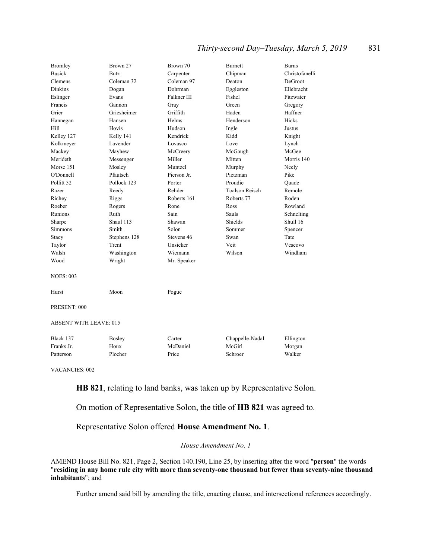## *Thirty-second Day–Tuesday, March 5, 2019* 831

| <b>Bromley</b>                | Brown 27     | Brown 70    | Burnett               | <b>Burns</b>   |
|-------------------------------|--------------|-------------|-----------------------|----------------|
| <b>Busick</b>                 | <b>Butz</b>  | Carpenter   | Chipman               | Christofanelli |
| Clemens                       | Coleman 32   | Coleman 97  | Deaton                | DeGroot        |
| <b>Dinkins</b>                | Dogan        | Dohrman     | Eggleston             | Ellebracht     |
| Eslinger                      | Evans        | Falkner III | Fishel                | Fitzwater      |
| Francis                       | Gannon       | Gray        | Green                 | Gregory        |
| Grier                         | Griesheimer  | Griffith    | Haden                 | Haffner        |
| Hannegan                      | Hansen       | Helms       | Henderson             | <b>Hicks</b>   |
| Hill                          | Hovis        | Hudson      | Ingle                 | Justus         |
| Kelley 127                    | Kelly 141    | Kendrick    | Kidd                  | Knight         |
| Kolkmeyer                     | Lavender     | Lovasco     | Love                  | Lynch          |
| Mackey                        | Mayhew       | McCreery    | McGaugh               | McGee          |
| Merideth                      | Messenger    | Miller      | Mitten                | Morris 140     |
| Morse 151                     | Mosley       | Muntzel     | Murphy                | Neely          |
| O'Donnell                     | Pfautsch     | Pierson Jr. | Pietzman              | Pike           |
| Pollitt <sub>52</sub>         | Pollock 123  | Porter      | Proudie               | Ouade          |
| Razer                         | Reedy        | Rehder      | <b>Toalson Reisch</b> | Remole         |
| Richey                        | Riggs        | Roberts 161 | Roberts 77            | Roden          |
| Roeber                        | Rogers       | Rone        | Ross                  | Rowland        |
| Runions                       | Ruth         | Sain        | Sauls                 | Schnelting     |
| Sharpe                        | Shaul 113    | Shawan      | Shields               | Shull 16       |
| <b>Simmons</b>                | Smith        | Solon       | Sommer                | Spencer        |
| Stacy                         | Stephens 128 | Stevens 46  | Swan                  | Tate           |
| Taylor                        | Trent        | Unsicker    | Veit                  | Vescovo        |
| Walsh                         | Washington   | Wiemann     | Wilson                | Windham        |
| Wood                          | Wright       | Mr. Speaker |                       |                |
| <b>NOES: 003</b>              |              |             |                       |                |
| Hurst                         | Moon         | Pogue       |                       |                |
| PRESENT: 000                  |              |             |                       |                |
| <b>ABSENT WITH LEAVE: 015</b> |              |             |                       |                |
| Black 137                     | Bosley       | Carter      | Chappelle-Nadal       | Ellington      |
| Franks Jr.                    | Houx         | McDaniel    | McGirl                | Morgan         |

VACANCIES: 002

**HB 821**, relating to land banks, was taken up by Representative Solon.

On motion of Representative Solon, the title of **HB 821** was agreed to.

Representative Solon offered **House Amendment No. 1**.

Patterson Plocher Price Schroer Walker

#### *House Amendment No. 1*

AMEND House Bill No. 821, Page 2, Section 140.190, Line 25, by inserting after the word "**person**" the words "**residing in any home rule city with more than seventy-one thousand but fewer than seventy-nine thousand inhabitants**"; and

Further amend said bill by amending the title, enacting clause, and intersectional references accordingly.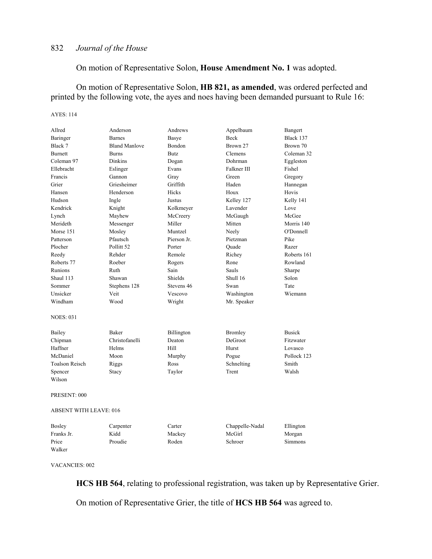On motion of Representative Solon, **House Amendment No. 1** was adopted.

 On motion of Representative Solon, **HB 821, as amended**, was ordered perfected and printed by the following vote, the ayes and noes having been demanded pursuant to Rule 16:

#### AYES: 114

| Allred                        | Anderson              | Andrews     | Appelbaum       | Bangert        |
|-------------------------------|-----------------------|-------------|-----------------|----------------|
| Baringer                      | <b>Barnes</b>         | Basye       | Beck            | Black 137      |
| Black 7                       | <b>Bland Manlove</b>  | Bondon      | Brown 27        | Brown 70       |
| <b>Burnett</b>                | <b>Burns</b>          | <b>Butz</b> | Clemens         | Coleman 32     |
| Coleman 97                    | Dinkins               | Dogan       | Dohrman         | Eggleston      |
| Ellebracht                    | Eslinger              | Evans       | Falkner III     | Fishel         |
| Francis                       | Gannon                | Gray        | Green           | Gregory        |
| Grier                         | Griesheimer           | Griffith    | Haden           | Hannegan       |
| Hansen                        | Henderson             | Hicks       | Houx            | Hovis          |
| Hudson                        | Ingle                 | Justus      | Kelley 127      | Kelly 141      |
| Kendrick                      | Knight                | Kolkmeyer   | Lavender        | Love           |
| Lynch                         | Mayhew                | McCreery    | McGaugh         | McGee          |
| Merideth                      | Messenger             | Miller      | Mitten          | Morris 140     |
| Morse 151                     | Mosley                | Muntzel     | Neely           | O'Donnell      |
| Patterson                     | Pfautsch              | Pierson Jr. | Pietzman        | Pike           |
| Plocher                       | Pollitt <sub>52</sub> | Porter      | Quade           | Razer          |
| Reedy                         | Rehder                | Remole      | Richey          | Roberts 161    |
| Roberts 77                    | Roeber                | Rogers      | Rone            | Rowland        |
| Runions                       | Ruth                  | Sain        | Sauls           | Sharpe         |
| Shaul 113                     | Shawan                | Shields     | Shull 16        | Solon          |
| Sommer                        | Stephens 128          | Stevens 46  | Swan            | Tate           |
| Unsicker                      | Veit                  | Vescovo     | Washington      | Wiemann        |
| Windham                       | Wood                  | Wright      | Mr. Speaker     |                |
| <b>NOES: 031</b>              |                       |             |                 |                |
| Bailey                        | Baker                 | Billington  | <b>Bromley</b>  | <b>Busick</b>  |
| Chipman                       | Christofanelli        | Deaton      | DeGroot         | Fitzwater      |
| Haffner                       | Helms                 | Hill        | Hurst           | Lovasco        |
| McDaniel                      | Moon                  | Murphy      | Pogue           | Pollock 123    |
| <b>Toalson Reisch</b>         | Riggs                 | Ross        | Schnelting      | Smith          |
| Spencer                       | Stacy                 | Taylor      | Trent           | Walsh          |
| Wilson                        |                       |             |                 |                |
| PRESENT: 000                  |                       |             |                 |                |
| <b>ABSENT WITH LEAVE: 016</b> |                       |             |                 |                |
| <b>Bosley</b>                 | Carpenter             | Carter      | Chappelle-Nadal | Ellington      |
| Franks Jr.                    | Kidd                  | Mackey      | McGirl          | Morgan         |
| Price                         | Proudie               | Roden       | Schroer         | <b>Simmons</b> |
| Walker                        |                       |             |                 |                |

VACANCIES: 002

**HCS HB 564**, relating to professional registration, was taken up by Representative Grier.

On motion of Representative Grier, the title of **HCS HB 564** was agreed to.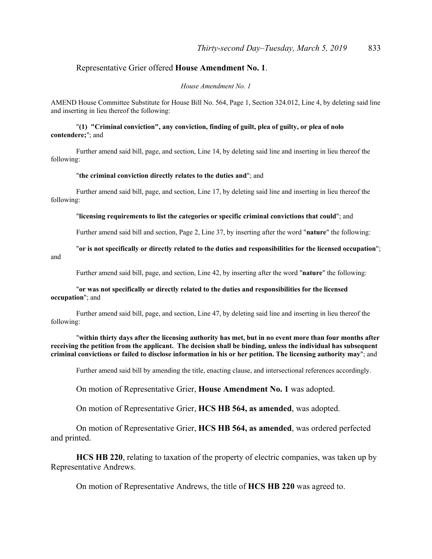## Representative Grier offered **House Amendment No. 1**.

#### *House Amendment No. 1*

AMEND House Committee Substitute for House Bill No. 564, Page 1, Section 324.012, Line 4, by deleting said line and inserting in lieu thereof the following:

#### "**(1) "Criminal conviction", any conviction, finding of guilt, plea of guilty, or plea of nolo contendere;**"; and

Further amend said bill, page, and section, Line 14, by deleting said line and inserting in lieu thereof the following:

#### "**the criminal conviction directly relates to the duties and**"; and

 Further amend said bill, page, and section, Line 17, by deleting said line and inserting in lieu thereof the following:

#### "**licensing requirements to list the categories or specific criminal convictions that could**"; and

Further amend said bill and section, Page 2, Line 37, by inserting after the word "**nature**" the following:

"**or is not specifically or directly related to the duties and responsibilities for the licensed occupation**"; and

Further amend said bill, page, and section, Line 42, by inserting after the word "**nature**" the following:

#### "**or was not specifically or directly related to the duties and responsibilities for the licensed occupation**"; and

 Further amend said bill, page, and section, Line 47, by deleting said line and inserting in lieu thereof the following:

"**within thirty days after the licensing authority has met, but in no event more than four months after receiving the petition from the applicant. The decision shall be binding, unless the individual has subsequent criminal convictions or failed to disclose information in his or her petition. The licensing authority may**"; and

Further amend said bill by amending the title, enacting clause, and intersectional references accordingly.

On motion of Representative Grier, **House Amendment No. 1** was adopted.

On motion of Representative Grier, **HCS HB 564, as amended**, was adopted.

 On motion of Representative Grier, **HCS HB 564, as amended**, was ordered perfected and printed.

**HCS HB 220**, relating to taxation of the property of electric companies, was taken up by Representative Andrews.

On motion of Representative Andrews, the title of **HCS HB 220** was agreed to.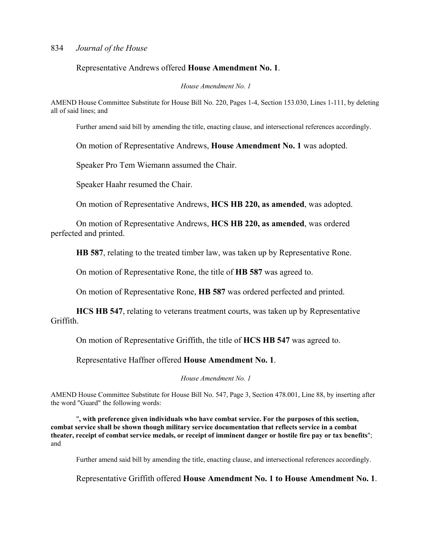Representative Andrews offered **House Amendment No. 1**.

#### *House Amendment No. 1*

AMEND House Committee Substitute for House Bill No. 220, Pages 1-4, Section 153.030, Lines 1-111, by deleting all of said lines; and

Further amend said bill by amending the title, enacting clause, and intersectional references accordingly.

On motion of Representative Andrews, **House Amendment No. 1** was adopted.

Speaker Pro Tem Wiemann assumed the Chair.

Speaker Haahr resumed the Chair.

On motion of Representative Andrews, **HCS HB 220, as amended**, was adopted.

 On motion of Representative Andrews, **HCS HB 220, as amended**, was ordered perfected and printed.

**HB 587**, relating to the treated timber law, was taken up by Representative Rone.

On motion of Representative Rone, the title of **HB 587** was agreed to.

On motion of Representative Rone, **HB 587** was ordered perfected and printed.

**HCS HB 547**, relating to veterans treatment courts, was taken up by Representative Griffith.

On motion of Representative Griffith, the title of **HCS HB 547** was agreed to.

Representative Haffner offered **House Amendment No. 1**.

*House Amendment No. 1*

AMEND House Committee Substitute for House Bill No. 547, Page 3, Section 478.001, Line 88, by inserting after the word "Guard" the following words:

"**, with preference given individuals who have combat service. For the purposes of this section, combat service shall be shown though military service documentation that reflects service in a combat theater, receipt of combat service medals, or receipt of imminent danger or hostile fire pay or tax benefits**"; and

Further amend said bill by amending the title, enacting clause, and intersectional references accordingly.

Representative Griffith offered **House Amendment No. 1 to House Amendment No. 1**.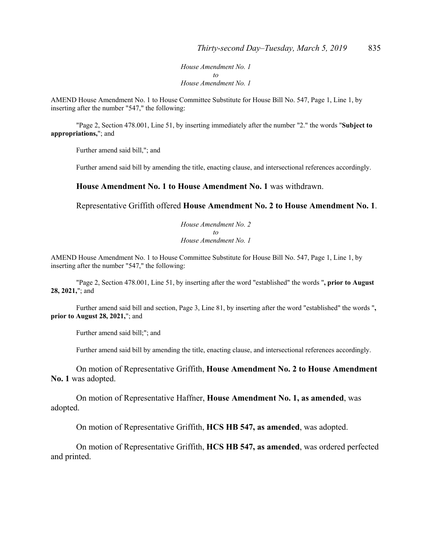*House Amendment No. 1 to House Amendment No. 1*

AMEND House Amendment No. 1 to House Committee Substitute for House Bill No. 547, Page 1, Line 1, by inserting after the number "547," the following:

"Page 2, Section 478.001, Line 51, by inserting immediately after the number "2." the words "**Subject to appropriations,**"; and

Further amend said bill,"; and

Further amend said bill by amending the title, enacting clause, and intersectional references accordingly.

#### **House Amendment No. 1 to House Amendment No. 1** was withdrawn.

Representative Griffith offered **House Amendment No. 2 to House Amendment No. 1**.

*House Amendment No. 2 to House Amendment No. 1*

AMEND House Amendment No. 1 to House Committee Substitute for House Bill No. 547, Page 1, Line 1, by inserting after the number "547," the following:

"Page 2, Section 478.001, Line 51, by inserting after the word "established" the words "**, prior to August 28, 2021,**"; and

 Further amend said bill and section, Page 3, Line 81, by inserting after the word "established" the words "**, prior to August 28, 2021,**"; and

Further amend said bill;"; and

Further amend said bill by amending the title, enacting clause, and intersectional references accordingly.

 On motion of Representative Griffith, **House Amendment No. 2 to House Amendment No. 1** was adopted.

 On motion of Representative Haffner, **House Amendment No. 1, as amended**, was adopted.

On motion of Representative Griffith, **HCS HB 547, as amended**, was adopted.

 On motion of Representative Griffith, **HCS HB 547, as amended**, was ordered perfected and printed.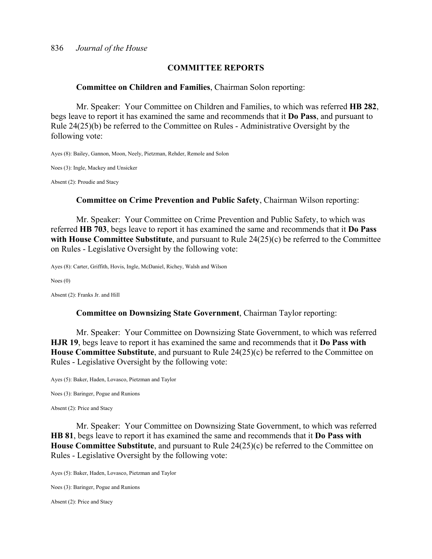## **COMMITTEE REPORTS**

#### **Committee on Children and Families**, Chairman Solon reporting:

 Mr. Speaker: Your Committee on Children and Families, to which was referred **HB 282**, begs leave to report it has examined the same and recommends that it **Do Pass**, and pursuant to Rule 24(25)(b) be referred to the Committee on Rules - Administrative Oversight by the following vote:

Ayes (8): Bailey, Gannon, Moon, Neely, Pietzman, Rehder, Remole and Solon

Noes (3): Ingle, Mackey and Unsicker

Absent (2): Proudie and Stacy

## **Committee on Crime Prevention and Public Safety**, Chairman Wilson reporting:

 Mr. Speaker: Your Committee on Crime Prevention and Public Safety, to which was referred **HB 703**, begs leave to report it has examined the same and recommends that it **Do Pass with House Committee Substitute**, and pursuant to Rule 24(25)(c) be referred to the Committee on Rules - Legislative Oversight by the following vote:

Ayes (8): Carter, Griffith, Hovis, Ingle, McDaniel, Richey, Walsh and Wilson

Noes (0)

Absent (2): Franks Jr. and Hill

#### **Committee on Downsizing State Government**, Chairman Taylor reporting:

 Mr. Speaker: Your Committee on Downsizing State Government, to which was referred **HJR 19**, begs leave to report it has examined the same and recommends that it **Do Pass with House Committee Substitute**, and pursuant to Rule 24(25)(c) be referred to the Committee on Rules - Legislative Oversight by the following vote:

Ayes (5): Baker, Haden, Lovasco, Pietzman and Taylor

Noes (3): Baringer, Pogue and Runions

Absent (2): Price and Stacy

 Mr. Speaker: Your Committee on Downsizing State Government, to which was referred **HB 81**, begs leave to report it has examined the same and recommends that it **Do Pass with House Committee Substitute**, and pursuant to Rule 24(25)(c) be referred to the Committee on Rules - Legislative Oversight by the following vote:

Ayes (5): Baker, Haden, Lovasco, Pietzman and Taylor

Noes (3): Baringer, Pogue and Runions

Absent (2): Price and Stacy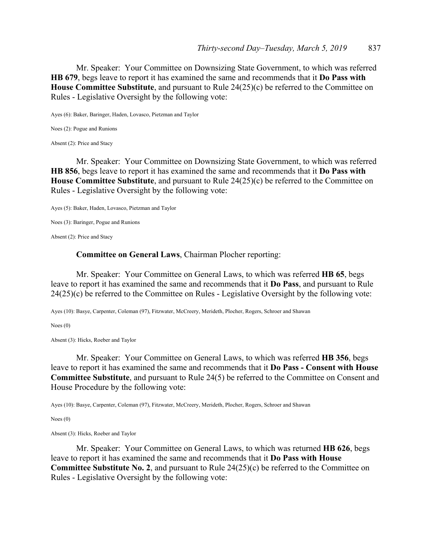Mr. Speaker: Your Committee on Downsizing State Government, to which was referred **HB 679**, begs leave to report it has examined the same and recommends that it **Do Pass with House Committee Substitute**, and pursuant to Rule 24(25)(c) be referred to the Committee on Rules - Legislative Oversight by the following vote:

Ayes (6): Baker, Baringer, Haden, Lovasco, Pietzman and Taylor

Noes (2): Pogue and Runions

Absent (2): Price and Stacy

 Mr. Speaker: Your Committee on Downsizing State Government, to which was referred **HB 856**, begs leave to report it has examined the same and recommends that it **Do Pass with House Committee Substitute**, and pursuant to Rule 24(25)(c) be referred to the Committee on Rules - Legislative Oversight by the following vote:

Ayes (5): Baker, Haden, Lovasco, Pietzman and Taylor

Noes (3): Baringer, Pogue and Runions

Absent (2): Price and Stacy

**Committee on General Laws**, Chairman Plocher reporting:

 Mr. Speaker: Your Committee on General Laws, to which was referred **HB 65**, begs leave to report it has examined the same and recommends that it **Do Pass**, and pursuant to Rule 24(25)(c) be referred to the Committee on Rules - Legislative Oversight by the following vote:

Ayes (10): Basye, Carpenter, Coleman (97), Fitzwater, McCreery, Merideth, Plocher, Rogers, Schroer and Shawan

Noes (0)

Absent (3): Hicks, Roeber and Taylor

 Mr. Speaker: Your Committee on General Laws, to which was referred **HB 356**, begs leave to report it has examined the same and recommends that it **Do Pass - Consent with House Committee Substitute**, and pursuant to Rule 24(5) be referred to the Committee on Consent and House Procedure by the following vote:

Ayes (10): Basye, Carpenter, Coleman (97), Fitzwater, McCreery, Merideth, Plocher, Rogers, Schroer and Shawan

Noes (0)

Absent (3): Hicks, Roeber and Taylor

 Mr. Speaker: Your Committee on General Laws, to which was returned **HB 626**, begs leave to report it has examined the same and recommends that it **Do Pass with House Committee Substitute No. 2**, and pursuant to Rule 24(25)(c) be referred to the Committee on Rules - Legislative Oversight by the following vote: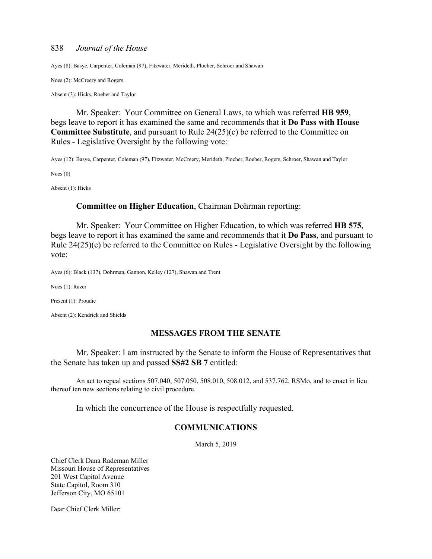Ayes (8): Basye, Carpenter, Coleman (97), Fitzwater, Merideth, Plocher, Schroer and Shawan

Noes (2): McCreery and Rogers

Absent (3): Hicks, Roeber and Taylor

 Mr. Speaker: Your Committee on General Laws, to which was referred **HB 959**, begs leave to report it has examined the same and recommends that it **Do Pass with House Committee Substitute**, and pursuant to Rule 24(25)(c) be referred to the Committee on Rules - Legislative Oversight by the following vote:

Ayes (12): Basye, Carpenter, Coleman (97), Fitzwater, McCreery, Merideth, Plocher, Roeber, Rogers, Schroer, Shawan and Taylor

Noes (0)

Absent (1): Hicks

#### **Committee on Higher Education**, Chairman Dohrman reporting:

 Mr. Speaker: Your Committee on Higher Education, to which was referred **HB 575**, begs leave to report it has examined the same and recommends that it **Do Pass**, and pursuant to Rule 24(25)(c) be referred to the Committee on Rules - Legislative Oversight by the following vote:

Ayes (6): Black (137), Dohrman, Gannon, Kelley (127), Shawan and Trent

Noes (1): Razer

Present (1): Proudie

Absent (2): Kendrick and Shields

## **MESSAGES FROM THE SENATE**

 Mr. Speaker: I am instructed by the Senate to inform the House of Representatives that the Senate has taken up and passed **SS#2 SB 7** entitled:

 An act to repeal sections 507.040, 507.050, 508.010, 508.012, and 537.762, RSMo, and to enact in lieu thereof ten new sections relating to civil procedure.

In which the concurrence of the House is respectfully requested.

## **COMMUNICATIONS**

March 5, 2019

Chief Clerk Dana Rademan Miller Missouri House of Representatives 201 West Capitol Avenue State Capitol, Room 310 Jefferson City, MO 65101

Dear Chief Clerk Miller: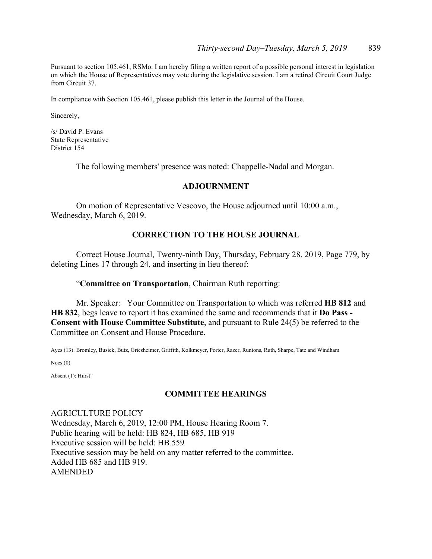Pursuant to section 105.461, RSMo. I am hereby filing a written report of a possible personal interest in legislation on which the House of Representatives may vote during the legislative session. I am a retired Circuit Court Judge from Circuit 37.

In compliance with Section 105.461, please publish this letter in the Journal of the House.

Sincerely,

/s/ David P. Evans State Representative District 154

The following members' presence was noted: Chappelle-Nadal and Morgan.

## **ADJOURNMENT**

 On motion of Representative Vescovo, the House adjourned until 10:00 a.m., Wednesday, March 6, 2019.

## **CORRECTION TO THE HOUSE JOURNAL**

 Correct House Journal, Twenty-ninth Day, Thursday, February 28, 2019, Page 779, by deleting Lines 17 through 24, and inserting in lieu thereof:

## "**Committee on Transportation**, Chairman Ruth reporting:

 Mr. Speaker: Your Committee on Transportation to which was referred **HB 812** and **HB 832**, begs leave to report it has examined the same and recommends that it **Do Pass - Consent with House Committee Substitute**, and pursuant to Rule 24(5) be referred to the Committee on Consent and House Procedure.

Ayes (13): Bromley, Busick, Butz, Griesheimer, Griffith, Kolkmeyer, Porter, Razer, Runions, Ruth, Sharpe, Tate and Windham

Noes (0)

Absent (1): Hurst"

## **COMMITTEE HEARINGS**

AGRICULTURE POLICY Wednesday, March 6, 2019, 12:00 PM, House Hearing Room 7. Public hearing will be held: HB 824, HB 685, HB 919 Executive session will be held: HB 559 Executive session may be held on any matter referred to the committee. Added HB 685 and HB 919. AMENDED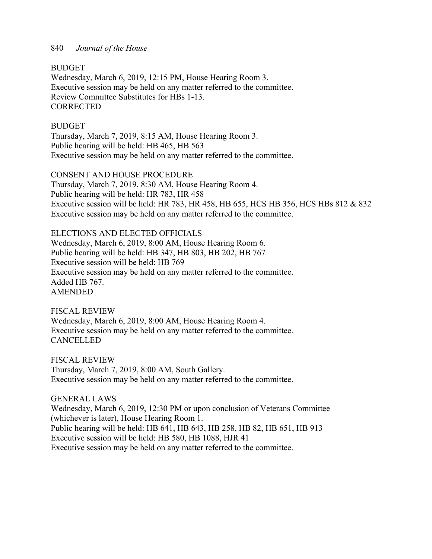**BUDGET** 

Wednesday, March 6, 2019, 12:15 PM, House Hearing Room 3. Executive session may be held on any matter referred to the committee. Review Committee Substitutes for HBs 1-13. **CORRECTED** 

## **BUDGET**

Thursday, March 7, 2019, 8:15 AM, House Hearing Room 3. Public hearing will be held: HB 465, HB 563 Executive session may be held on any matter referred to the committee.

CONSENT AND HOUSE PROCEDURE

Thursday, March 7, 2019, 8:30 AM, House Hearing Room 4. Public hearing will be held: HR 783, HR 458 Executive session will be held: HR 783, HR 458, HB 655, HCS HB 356, HCS HBs 812 & 832 Executive session may be held on any matter referred to the committee.

ELECTIONS AND ELECTED OFFICIALS Wednesday, March 6, 2019, 8:00 AM, House Hearing Room 6. Public hearing will be held: HB 347, HB 803, HB 202, HB 767 Executive session will be held: HB 769 Executive session may be held on any matter referred to the committee. Added HB 767. AMENDED

FISCAL REVIEW Wednesday, March 6, 2019, 8:00 AM, House Hearing Room 4. Executive session may be held on any matter referred to the committee. **CANCELLED** 

FISCAL REVIEW Thursday, March 7, 2019, 8:00 AM, South Gallery. Executive session may be held on any matter referred to the committee.

GENERAL LAWS Wednesday, March 6, 2019, 12:30 PM or upon conclusion of Veterans Committee (whichever is later), House Hearing Room 1. Public hearing will be held: HB 641, HB 643, HB 258, HB 82, HB 651, HB 913 Executive session will be held: HB 580, HB 1088, HJR 41 Executive session may be held on any matter referred to the committee.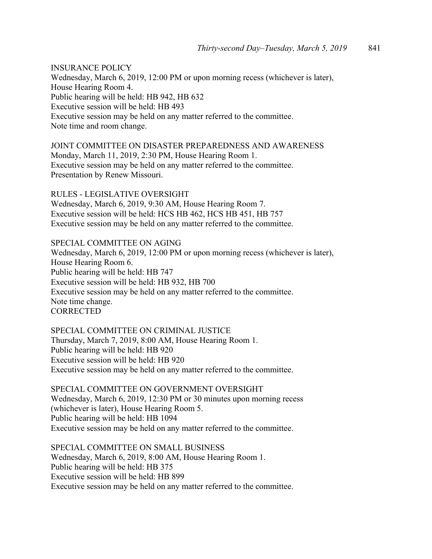INSURANCE POLICY Wednesday, March 6, 2019, 12:00 PM or upon morning recess (whichever is later), House Hearing Room 4. Public hearing will be held: HB 942, HB 632 Executive session will be held: HB 493 Executive session may be held on any matter referred to the committee. Note time and room change.

JOINT COMMITTEE ON DISASTER PREPAREDNESS AND AWARENESS Monday, March 11, 2019, 2:30 PM, House Hearing Room 1. Executive session may be held on any matter referred to the committee. Presentation by Renew Missouri.

RULES - LEGISLATIVE OVERSIGHT Wednesday, March 6, 2019, 9:30 AM, House Hearing Room 7. Executive session will be held: HCS HB 462, HCS HB 451, HB 757 Executive session may be held on any matter referred to the committee.

SPECIAL COMMITTEE ON AGING Wednesday, March 6, 2019, 12:00 PM or upon morning recess (whichever is later), House Hearing Room 6. Public hearing will be held: HB 747 Executive session will be held: HB 932, HB 700 Executive session may be held on any matter referred to the committee. Note time change. **CORRECTED** 

SPECIAL COMMITTEE ON CRIMINAL JUSTICE Thursday, March 7, 2019, 8:00 AM, House Hearing Room 1. Public hearing will be held: HB 920 Executive session will be held: HB 920 Executive session may be held on any matter referred to the committee.

SPECIAL COMMITTEE ON GOVERNMENT OVERSIGHT Wednesday, March 6, 2019, 12:30 PM or 30 minutes upon morning recess (whichever is later), House Hearing Room 5. Public hearing will be held: HB 1094 Executive session may be held on any matter referred to the committee.

SPECIAL COMMITTEE ON SMALL BUSINESS Wednesday, March 6, 2019, 8:00 AM, House Hearing Room 1. Public hearing will be held: HB 375 Executive session will be held: HB 899 Executive session may be held on any matter referred to the committee.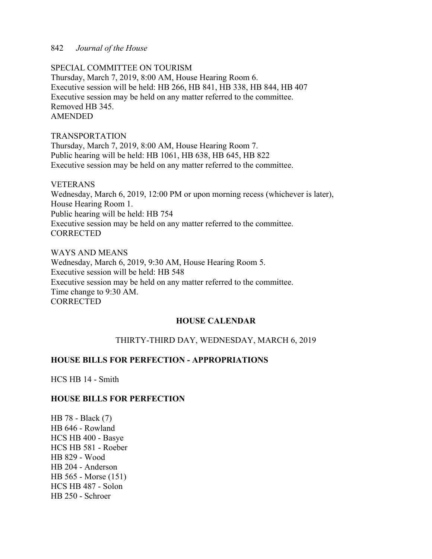SPECIAL COMMITTEE ON TOURISM Thursday, March 7, 2019, 8:00 AM, House Hearing Room 6. Executive session will be held: HB 266, HB 841, HB 338, HB 844, HB 407 Executive session may be held on any matter referred to the committee. Removed HB 345. AMENDED

## TRANSPORTATION

Thursday, March 7, 2019, 8:00 AM, House Hearing Room 7. Public hearing will be held: HB 1061, HB 638, HB 645, HB 822 Executive session may be held on any matter referred to the committee.

## VETERANS

Wednesday, March 6, 2019, 12:00 PM or upon morning recess (whichever is later), House Hearing Room 1. Public hearing will be held: HB 754 Executive session may be held on any matter referred to the committee. **CORRECTED** 

WAYS AND MEANS Wednesday, March 6, 2019, 9:30 AM, House Hearing Room 5. Executive session will be held: HB 548 Executive session may be held on any matter referred to the committee. Time change to 9:30 AM. CORRECTED

## **HOUSE CALENDAR**

## THIRTY-THIRD DAY, WEDNESDAY, MARCH 6, 2019

## **HOUSE BILLS FOR PERFECTION - APPROPRIATIONS**

HCS HB 14 - Smith

## **HOUSE BILLS FOR PERFECTION**

HB 78 - Black (7) HB 646 - Rowland HCS HB 400 - Basye HCS HB 581 - Roeber HB 829 - Wood HB 204 - Anderson HB 565 - Morse (151) HCS HB 487 - Solon HB 250 - Schroer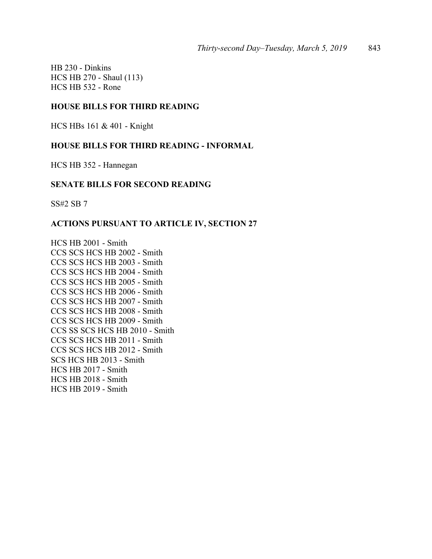HB 230 - Dinkins HCS HB 270 - Shaul (113) HCS HB 532 - Rone

## **HOUSE BILLS FOR THIRD READING**

HCS HBs 161 & 401 - Knight

## **HOUSE BILLS FOR THIRD READING - INFORMAL**

HCS HB 352 - Hannegan

## **SENATE BILLS FOR SECOND READING**

SS#2 SB 7

## **ACTIONS PURSUANT TO ARTICLE IV, SECTION 27**

HCS HB 2001 - Smith CCS SCS HCS HB 2002 - Smith CCS SCS HCS HB 2003 - Smith CCS SCS HCS HB 2004 - Smith CCS SCS HCS HB 2005 - Smith CCS SCS HCS HB 2006 - Smith CCS SCS HCS HB 2007 - Smith CCS SCS HCS HB 2008 - Smith CCS SCS HCS HB 2009 - Smith CCS SS SCS HCS HB 2010 - Smith CCS SCS HCS HB 2011 - Smith CCS SCS HCS HB 2012 - Smith SCS HCS HB 2013 - Smith HCS HB 2017 - Smith HCS HB 2018 - Smith HCS HB 2019 - Smith